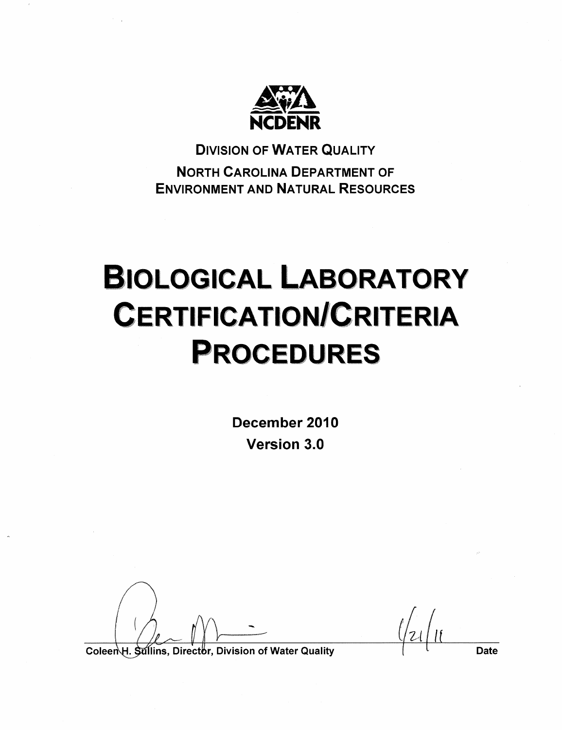

**DIVISION OF WATER QUALITY NORTH CAROLINA DEPARTMENT OF ENVIRONMENT AND NATURAL RESOURCES** 

# **BIOLOGICAL LABORATORY CERTIFICATION/CRITERIA PROCEDURES**

December 2010 Version 3.0

**Date** 

Coleen H. Sullins, Director, Division of Water Quality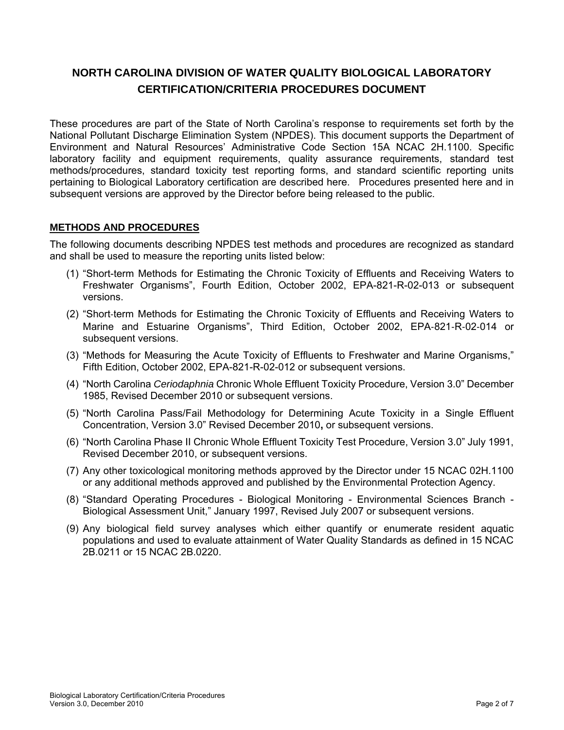# **NORTH CAROLINA DIVISION OF WATER QUALITY BIOLOGICAL LABORATORY CERTIFICATION/CRITERIA PROCEDURES DOCUMENT**

These procedures are part of the State of North Carolina's response to requirements set forth by the National Pollutant Discharge Elimination System (NPDES). This document supports the Department of Environment and Natural Resources' Administrative Code Section 15A NCAC 2H.1100. Specific laboratory facility and equipment requirements, quality assurance requirements, standard test methods/procedures, standard toxicity test reporting forms, and standard scientific reporting units pertaining to Biological Laboratory certification are described here. Procedures presented here and in subsequent versions are approved by the Director before being released to the public.

### **METHODS AND PROCEDURES**

The following documents describing NPDES test methods and procedures are recognized as standard and shall be used to measure the reporting units listed below:

- (1) "Short-term Methods for Estimating the Chronic Toxicity of Effluents and Receiving Waters to Freshwater Organisms", Fourth Edition, October 2002, EPA-821-R-02-013 or subsequent versions.
- (2) "Short‐term Methods for Estimating the Chronic Toxicity of Effluents and Receiving Waters to Marine and Estuarine Organisms", Third Edition, October 2002, EPA‐821‐R‐02‐014 or subsequent versions.
- (3) "Methods for Measuring the Acute Toxicity of Effluents to Freshwater and Marine Organisms," Fifth Edition, October 2002, EPA-821-R-02-012 or subsequent versions.
- (4) "North Carolina *Ceriodaphnia* Chronic Whole Effluent Toxicity Procedure, Version 3.0" December 1985, Revised December 2010 or subsequent versions.
- (5) "North Carolina Pass/Fail Methodology for Determining Acute Toxicity in a Single Effluent Concentration, Version 3.0" Revised December 2010**,** or subsequent versions.
- (6) "North Carolina Phase II Chronic Whole Effluent Toxicity Test Procedure, Version 3.0" July 1991, Revised December 2010, or subsequent versions.
- (7) Any other toxicological monitoring methods approved by the Director under 15 NCAC 02H.1100 or any additional methods approved and published by the Environmental Protection Agency.
- (8) "Standard Operating Procedures Biological Monitoring Environmental Sciences Branch Biological Assessment Unit," January 1997, Revised July 2007 or subsequent versions.
- (9) Any biological field survey analyses which either quantify or enumerate resident aquatic populations and used to evaluate attainment of Water Quality Standards as defined in 15 NCAC 2B.0211 or 15 NCAC 2B.0220.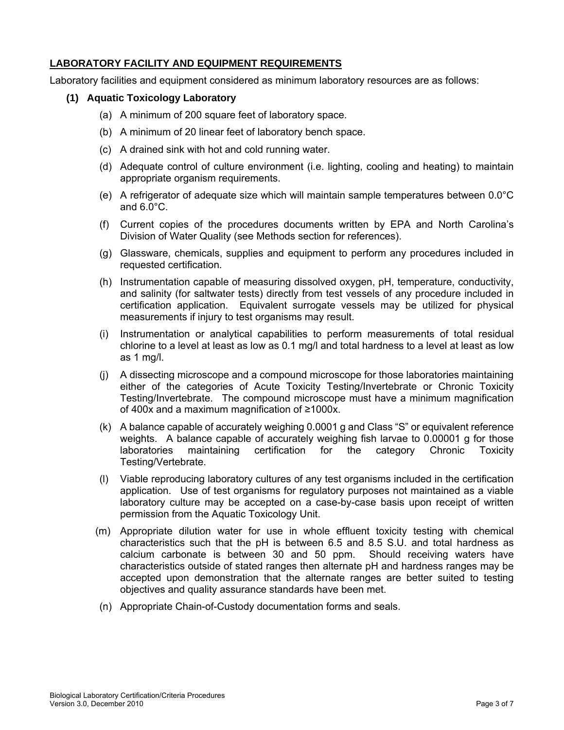#### **LABORATORY FACILITY AND EQUIPMENT REQUIREMENTS**

Laboratory facilities and equipment considered as minimum laboratory resources are as follows:

#### **(1) Aquatic Toxicology Laboratory**

- (a) A minimum of 200 square feet of laboratory space.
- (b) A minimum of 20 linear feet of laboratory bench space.
- (c) A drained sink with hot and cold running water.
- (d) Adequate control of culture environment (i.e. lighting, cooling and heating) to maintain appropriate organism requirements.
- (e) A refrigerator of adequate size which will maintain sample temperatures between 0.0°C and 6.0°C.
- (f) Current copies of the procedures documents written by EPA and North Carolina's Division of Water Quality (see Methods section for references).
- (g) Glassware, chemicals, supplies and equipment to perform any procedures included in requested certification.
- (h) Instrumentation capable of measuring dissolved oxygen, pH, temperature, conductivity, and salinity (for saltwater tests) directly from test vessels of any procedure included in certification application. Equivalent surrogate vessels may be utilized for physical measurements if injury to test organisms may result.
- (i) Instrumentation or analytical capabilities to perform measurements of total residual chlorine to a level at least as low as 0.1 mg/l and total hardness to a level at least as low as 1 mg/l.
- (j) A dissecting microscope and a compound microscope for those laboratories maintaining either of the categories of Acute Toxicity Testing/Invertebrate or Chronic Toxicity Testing/Invertebrate. The compound microscope must have a minimum magnification of 400x and a maximum magnification of ≥1000x.
- (k) A balance capable of accurately weighing 0.0001 g and Class "S" or equivalent reference weights. A balance capable of accurately weighing fish larvae to 0.00001 g for those laboratories maintaining certification for the category Chronic Toxicity Testing/Vertebrate.
- (l) Viable reproducing laboratory cultures of any test organisms included in the certification application. Use of test organisms for regulatory purposes not maintained as a viable laboratory culture may be accepted on a case-by-case basis upon receipt of written permission from the Aquatic Toxicology Unit.
- (m) Appropriate dilution water for use in whole effluent toxicity testing with chemical characteristics such that the pH is between 6.5 and 8.5 S.U. and total hardness as calcium carbonate is between 30 and 50 ppm. Should receiving waters have characteristics outside of stated ranges then alternate pH and hardness ranges may be accepted upon demonstration that the alternate ranges are better suited to testing objectives and quality assurance standards have been met.
- (n) Appropriate Chain-of-Custody documentation forms and seals.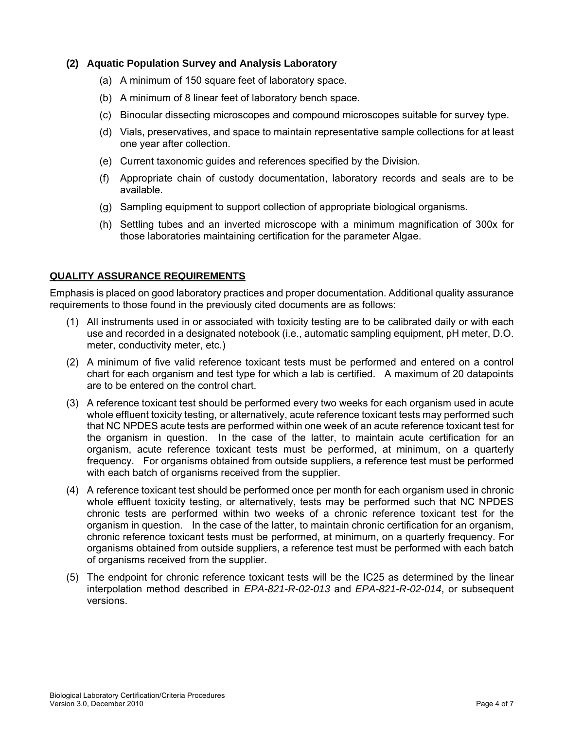#### **(2) Aquatic Population Survey and Analysis Laboratory**

- (a) A minimum of 150 square feet of laboratory space.
- (b) A minimum of 8 linear feet of laboratory bench space.
- (c) Binocular dissecting microscopes and compound microscopes suitable for survey type.
- (d) Vials, preservatives, and space to maintain representative sample collections for at least one year after collection.
- (e) Current taxonomic guides and references specified by the Division.
- (f) Appropriate chain of custody documentation, laboratory records and seals are to be available.
- (g) Sampling equipment to support collection of appropriate biological organisms.
- (h) Settling tubes and an inverted microscope with a minimum magnification of 300x for those laboratories maintaining certification for the parameter Algae.

#### **QUALITY ASSURANCE REQUIREMENTS**

Emphasis is placed on good laboratory practices and proper documentation. Additional quality assurance requirements to those found in the previously cited documents are as follows:

- (1) All instruments used in or associated with toxicity testing are to be calibrated daily or with each use and recorded in a designated notebook (i.e., automatic sampling equipment, pH meter, D.O. meter, conductivity meter, etc.)
- (2) A minimum of five valid reference toxicant tests must be performed and entered on a control chart for each organism and test type for which a lab is certified. A maximum of 20 datapoints are to be entered on the control chart.
- (3) A reference toxicant test should be performed every two weeks for each organism used in acute whole effluent toxicity testing, or alternatively, acute reference toxicant tests may performed such that NC NPDES acute tests are performed within one week of an acute reference toxicant test for the organism in question. In the case of the latter, to maintain acute certification for an organism, acute reference toxicant tests must be performed, at minimum, on a quarterly frequency. For organisms obtained from outside suppliers, a reference test must be performed with each batch of organisms received from the supplier.
- (4) A reference toxicant test should be performed once per month for each organism used in chronic whole effluent toxicity testing, or alternatively, tests may be performed such that NC NPDES chronic tests are performed within two weeks of a chronic reference toxicant test for the organism in question. In the case of the latter, to maintain chronic certification for an organism, chronic reference toxicant tests must be performed, at minimum, on a quarterly frequency. For organisms obtained from outside suppliers, a reference test must be performed with each batch of organisms received from the supplier.
- (5) The endpoint for chronic reference toxicant tests will be the IC25 as determined by the linear interpolation method described in *EPA-821-R-02-013* and *EPA-821-R-02-014*, or subsequent versions.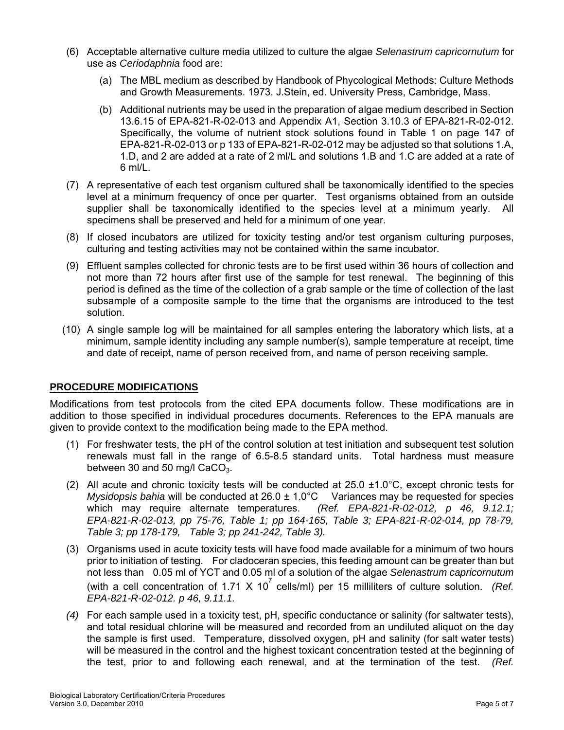- (6) Acceptable alternative culture media utilized to culture the algae *Selenastrum capricornutum* for use as *Ceriodaphnia* food are:
	- (a) The MBL medium as described by Handbook of Phycological Methods: Culture Methods and Growth Measurements. 1973. J.Stein, ed. University Press, Cambridge, Mass.
	- (b) Additional nutrients may be used in the preparation of algae medium described in Section 13.6.15 of EPA-821-R-02-013 and Appendix A1, Section 3.10.3 of EPA-821-R-02-012. Specifically, the volume of nutrient stock solutions found in Table 1 on page 147 of EPA-821-R-02-013 or p 133 of EPA-821-R-02-012 may be adjusted so that solutions 1.A, 1.D, and 2 are added at a rate of 2 ml/L and solutions 1.B and 1.C are added at a rate of 6 ml/L.
- (7) A representative of each test organism cultured shall be taxonomically identified to the species level at a minimum frequency of once per quarter. Test organisms obtained from an outside supplier shall be taxonomically identified to the species level at a minimum yearly. All specimens shall be preserved and held for a minimum of one year.
- (8) If closed incubators are utilized for toxicity testing and/or test organism culturing purposes, culturing and testing activities may not be contained within the same incubator.
- (9) Effluent samples collected for chronic tests are to be first used within 36 hours of collection and not more than 72 hours after first use of the sample for test renewal. The beginning of this period is defined as the time of the collection of a grab sample or the time of collection of the last subsample of a composite sample to the time that the organisms are introduced to the test solution.
- (10) A single sample log will be maintained for all samples entering the laboratory which lists, at a minimum, sample identity including any sample number(s), sample temperature at receipt, time and date of receipt, name of person received from, and name of person receiving sample.

#### **PROCEDURE MODIFICATIONS**

Modifications from test protocols from the cited EPA documents follow. These modifications are in addition to those specified in individual procedures documents. References to the EPA manuals are given to provide context to the modification being made to the EPA method.

- (1) For freshwater tests, the pH of the control solution at test initiation and subsequent test solution renewals must fall in the range of 6.5-8.5 standard units. Total hardness must measure between 30 and 50 mg/l  $CaCO<sub>3</sub>$ .
- (2) All acute and chronic toxicity tests will be conducted at 25.0 ±1.0°C, except chronic tests for *Mysidopsis bahia* will be conducted at 26.0 ± 1.0°C Variances may be requested for species which may require alternate temperatures. *(Ref. EPA-821-R-02-012, p 46, 9.12.1; EPA-821-R-02-013, pp 75-76, Table 1; pp 164-165, Table 3; EPA-821-R-02-014, pp 78-79, Table 3; pp 178-179, Table 3; pp 241-242, Table 3).*
- (3) Organisms used in acute toxicity tests will have food made available for a minimum of two hours prior to initiation of testing. For cladoceran species, this feeding amount can be greater than but not less than 0.05 ml of YCT and 0.05 ml of a solution of the algae *Selenastrum capricornutum* (with a cell concentration of 1.71 X 10<sup>7</sup> cells/ml) per 15 milliliters of culture solution. (Ref. *EPA-821-R-02-012. p 46, 9.11.1.*
- *(4)* For each sample used in a toxicity test, pH, specific conductance or salinity (for saltwater tests), and total residual chlorine will be measured and recorded from an undiluted aliquot on the day the sample is first used. Temperature, dissolved oxygen, pH and salinity (for salt water tests) will be measured in the control and the highest toxicant concentration tested at the beginning of the test, prior to and following each renewal, and at the termination of the test. *(Ref.*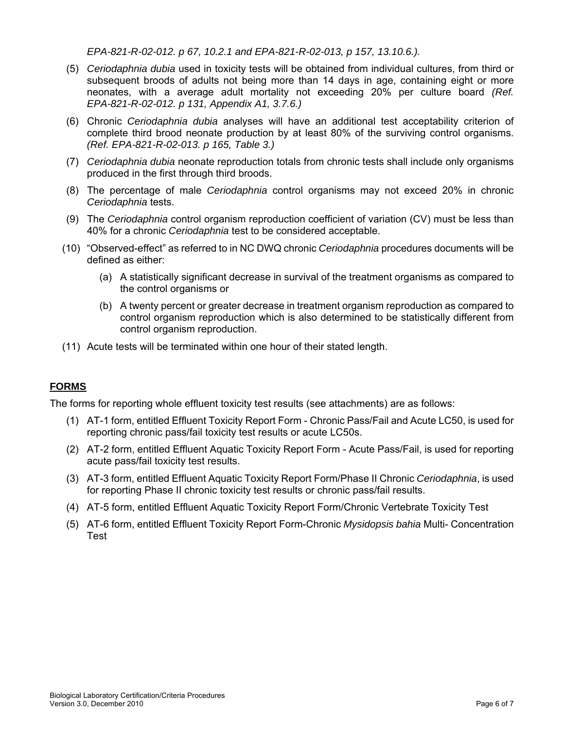*EPA-821-R-02-012. p 67, 10.2.1 and EPA-821-R-02-013, p 157, 13.10.6.).* 

- (5) *Ceriodaphnia dubia* used in toxicity tests will be obtained from individual cultures, from third or subsequent broods of adults not being more than 14 days in age, containing eight or more neonates, with a average adult mortality not exceeding 20% per culture board *(Ref. EPA-821-R-02-012. p 131, Appendix A1, 3.7.6.)*
- (6) Chronic *Ceriodaphnia dubia* analyses will have an additional test acceptability criterion of complete third brood neonate production by at least 80% of the surviving control organisms. *(Ref. EPA-821-R-02-013. p 165, Table 3.)*
- (7) *Ceriodaphnia dubia* neonate reproduction totals from chronic tests shall include only organisms produced in the first through third broods.
- (8) The percentage of male *Ceriodaphnia* control organisms may not exceed 20% in chronic *Ceriodaphnia* tests.
- (9) The *Ceriodaphnia* control organism reproduction coefficient of variation (CV) must be less than 40% for a chronic *Ceriodaphnia* test to be considered acceptable.
- (10) "Observed-effect" as referred to in NC DWQ chronic *Ceriodaphnia* procedures documents will be defined as either:
	- (a) A statistically significant decrease in survival of the treatment organisms as compared to the control organisms or
	- (b) A twenty percent or greater decrease in treatment organism reproduction as compared to control organism reproduction which is also determined to be statistically different from control organism reproduction.
- (11) Acute tests will be terminated within one hour of their stated length.

## **FORMS**

The forms for reporting whole effluent toxicity test results (see attachments) are as follows:

- (1) AT-1 form, entitled Effluent Toxicity Report Form Chronic Pass/Fail and Acute LC50, is used for reporting chronic pass/fail toxicity test results or acute LC50s.
- (2) AT-2 form, entitled Effluent Aquatic Toxicity Report Form Acute Pass/Fail, is used for reporting acute pass/fail toxicity test results.
- (3) AT-3 form, entitled Effluent Aquatic Toxicity Report Form/Phase II Chronic *Ceriodaphnia*, is used for reporting Phase II chronic toxicity test results or chronic pass/fail results.
- (4) AT-5 form, entitled Effluent Aquatic Toxicity Report Form/Chronic Vertebrate Toxicity Test
- (5) AT-6 form, entitled Effluent Toxicity Report Form-Chronic *Mysidopsis bahia* Multi- Concentration Test